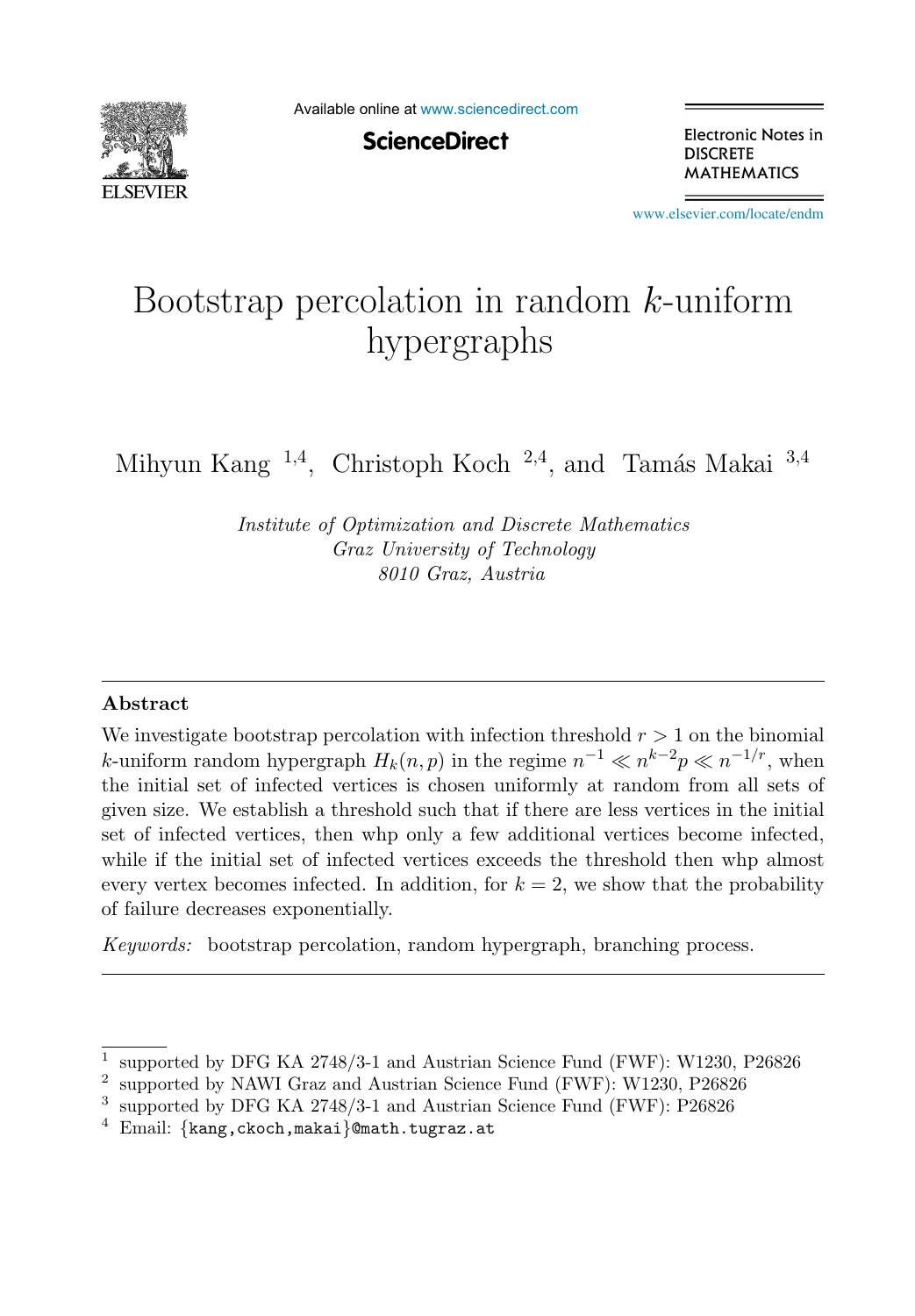

Available online at [www.sciencedirect.com](http://www.sciencedirect.com)

**ScienceDirect** 

Electronic Notes in **DISCRETE MATHEMATICS** 

[www.elsevier.com/locate/endm](http://www.elsevier.com/locate/endm)

# Bootstrap percolation in random  $k$ -uniform hypergraphs

Mihyun Kang <sup>1,4</sup>, Christoph Koch <sup>2,4</sup>, and Tamás Makai <sup>3,4</sup>

*Institute of Optimization and Discrete Mathematics Graz University of Technology 8010 Graz, Austria*

#### **Abstract**

We investigate bootstrap percolation with infection threshold  $r > 1$  on the binomial k-uniform random hypergraph  $H_k(n, p)$  in the regime  $n^{-1} \ll n^{k-2}p \ll n^{-1/r}$ , when the initial set of infected vertices is chosen uniformly at random from all sets of given size. We establish a threshold such that if there are less vertices in the initial set of infected vertices, then whp only a few additional vertices become infected, while if the initial set of infected vertices exceeds the threshold then whp almost every vertex becomes infected. In addition, for  $k = 2$ , we show that the probability of failure decreases exponentially.

*Keywords:* bootstrap percolation, random hypergraph, branching process.

<sup>1</sup> supported by DFG KA 2748/3-1 and Austrian Science Fund (FWF): W1230, P26826

<sup>2</sup> supported by NAWI Graz and Austrian Science Fund (FWF): W1230, P26826

<sup>3</sup> supported by DFG KA 2748/3-1 and Austrian Science Fund (FWF): P26826

 $4$  Email: {kang, ckoch, makai}@math.tugraz.at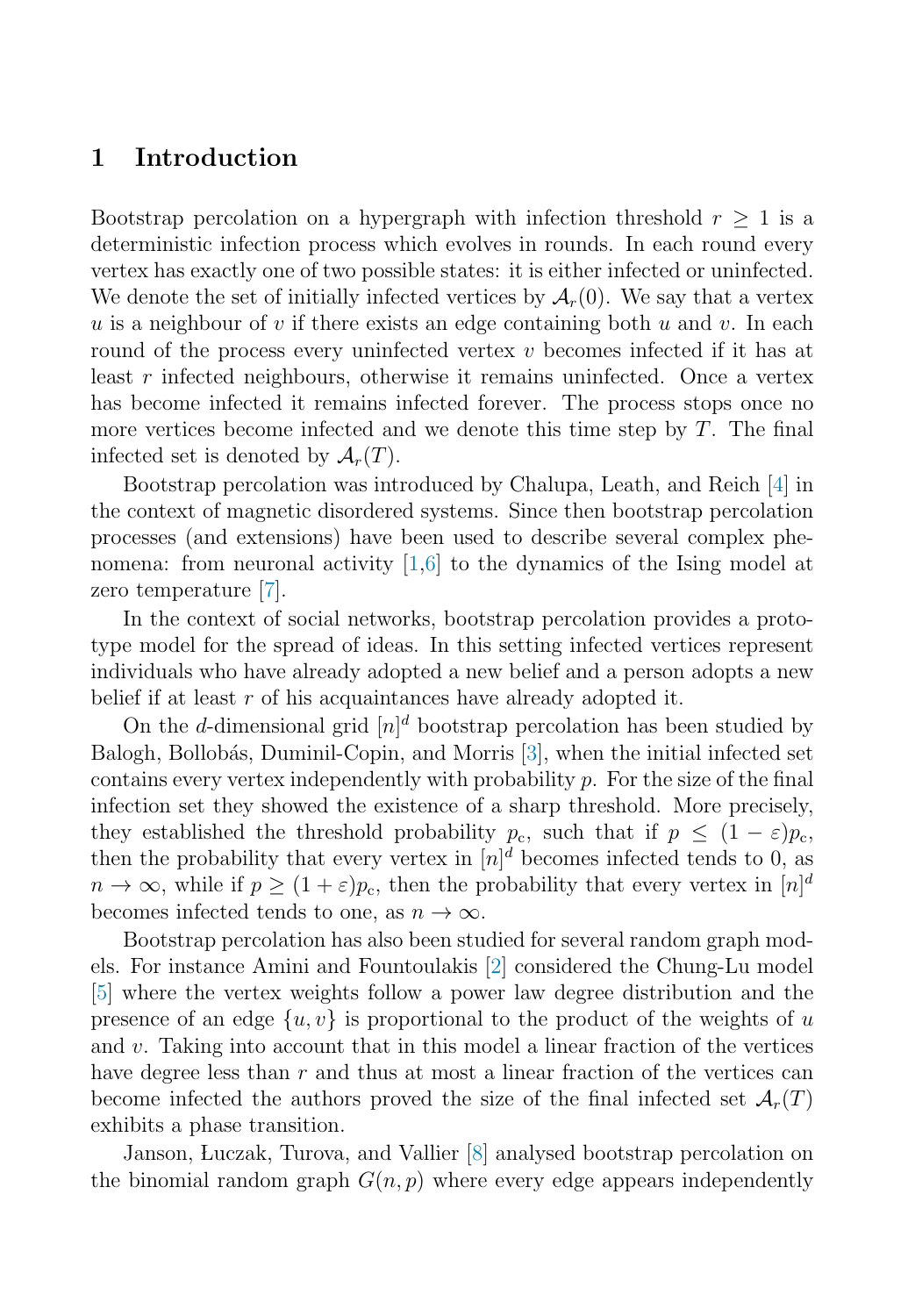### **1 Introduction**

Bootstrap percolation on a hypergraph with infection threshold  $r \geq 1$  is a deterministic infection process which evolves in rounds. In each round every vertex has exactly one of two possible states: it is either infected or uninfected. We denote the set of initially infected vertices by  $\mathcal{A}_r(0)$ . We say that a vertex u is a neighbour of v if there exists an edge containing both  $u$  and  $v$ . In each round of the process every uninfected vertex  $v$  becomes infected if it has at least r infected neighbours, otherwise it remains uninfected. Once a vertex has become infected it remains infected forever. The process stops once no more vertices become infected and we denote this time step by  $T$ . The final infected set is denoted by  $\mathcal{A}_r(T)$ .

Bootstrap percolation was introduced by Chalupa, Leath, and Reich [\[4\]](#page-6-0) in the context of magnetic disordered systems. Since then bootstrap percolation processes (and extensions) have been used to describe several complex phenomena: from neuronal activity [\[1,6\]](#page-6-0) to the dynamics of the Ising model at zero temperature [\[7\]](#page-6-0).

In the context of social networks, bootstrap percolation provides a prototype model for the spread of ideas. In this setting infected vertices represent individuals who have already adopted a new belief and a person adopts a new belief if at least  $r$  of his acquaintances have already adopted it.

On the *d*-dimensional grid  $[n]^d$  bootstrap percolation has been studied by Balogh, Bollobás, Duminil-Copin, and Morris [\[3\]](#page-6-0), when the initial infected set contains every vertex independently with probability  $p$ . For the size of the final infection set they showed the existence of a sharp threshold. More precisely, they established the threshold probability  $p_c$ , such that if  $p < (1 - \varepsilon)p_c$ , then the probability that every vertex in  $[n]^d$  becomes infected tends to 0, as  $n \to \infty$ , while if  $p \geq (1+\varepsilon)p_c$ , then the probability that every vertex in  $[n]^d$ becomes infected tends to one, as  $n \to \infty$ .

Bootstrap percolation has also been studied for several random graph models. For instance Amini and Fountoulakis [\[2\]](#page-6-0) considered the Chung-Lu model [\[5\]](#page-6-0) where the vertex weights follow a power law degree distribution and the presence of an edge  $\{u, v\}$  is proportional to the product of the weights of u and  $v$ . Taking into account that in this model a linear fraction of the vertices have degree less than  $r$  and thus at most a linear fraction of the vertices can become infected the authors proved the size of the final infected set  $\mathcal{A}_r(T)$ exhibits a phase transition.

Janson, Luczak, Turova, and Vallier [\[8\]](#page-6-0) analysed bootstrap percolation on the binomial random graph  $G(n, p)$  where every edge appears independently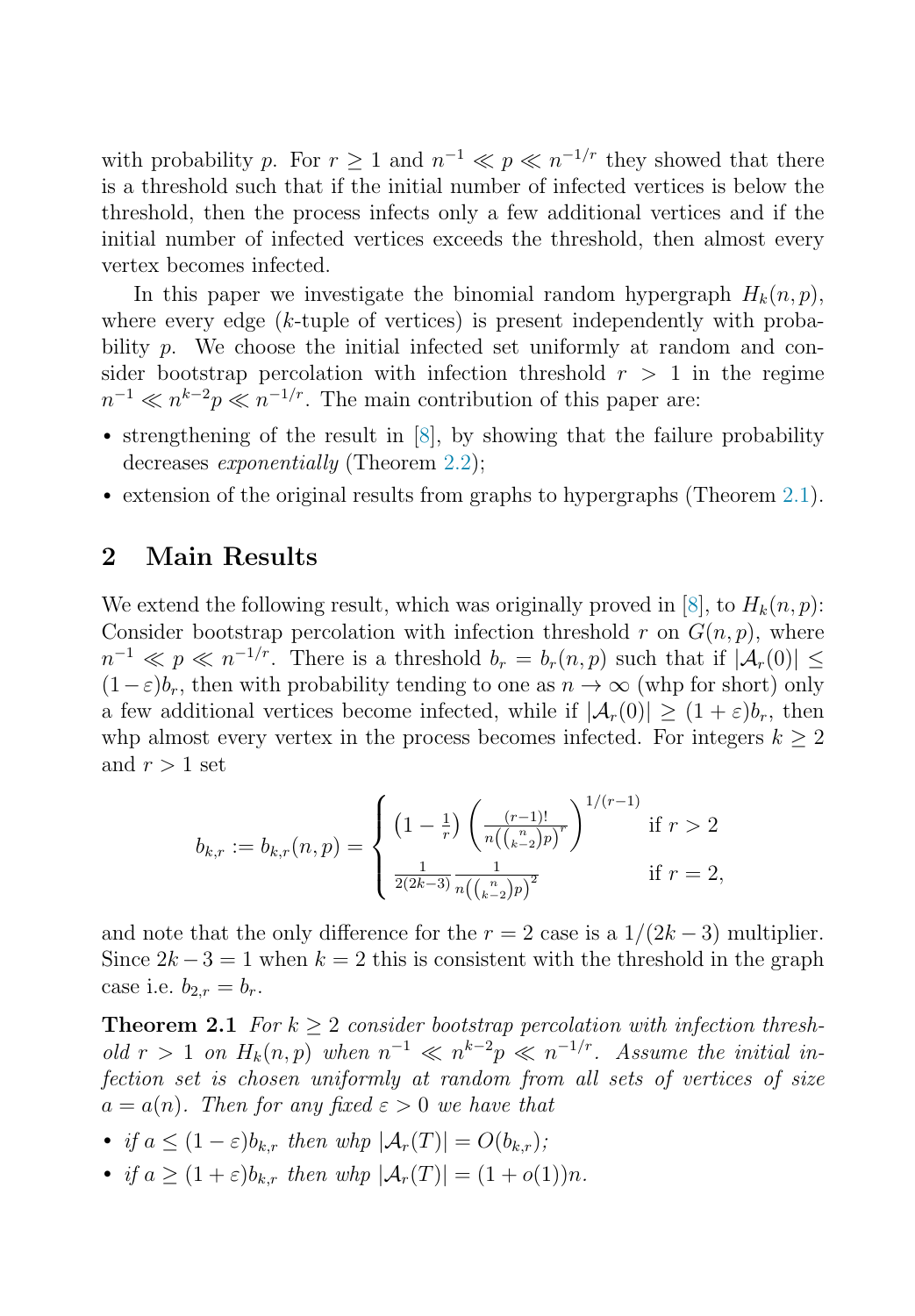<span id="page-2-0"></span>with probability p. For  $r \geq 1$  and  $n^{-1} \ll p \ll n^{-1/r}$  they showed that there is a threshold such that if the initial number of infected vertices is below the threshold, then the process infects only a few additional vertices and if the initial number of infected vertices exceeds the threshold, then almost every vertex becomes infected.

In this paper we investigate the binomial random hypergraph  $H_k(n, p)$ , where every edge  $(k$ -tuple of vertices) is present independently with probability p. We choose the initial infected set uniformly at random and consider bootstrap percolation with infection threshold  $r > 1$  in the regime  $n^{-1} \ll n^{k-2}p \ll n^{-1/r}$ . The main contribution of this paper are:

- strengthening of the result in [\[8\]](#page-6-0), by showing that the failure probability decreases *exponentially* (Theorem [2.2\)](#page-3-0);
- extension of the original results from graphs to hypergraphs (Theorem 2.1).

#### **2 Main Results**

We extend the following result, which was originally proved in [\[8\]](#page-6-0), to  $H_k(n, p)$ : Consider bootstrap percolation with infection threshold r on  $G(n, p)$ , where  $n^{-1} \ll p \ll n^{-1/r}$ . There is a threshold  $b_r = b_r(n, p)$  such that if  $|\mathcal{A}_r(0)| \leq$  $(1-\varepsilon)b_r$ , then with probability tending to one as  $n \to \infty$  (whp for short) only a few additional vertices become infected, while if  $|\mathcal{A}_r(0)| \geq (1+\varepsilon)b_r$ , then whp almost every vertex in the process becomes infected. For integers  $k \geq 2$ and  $r > 1$  set

$$
b_{k,r} := b_{k,r}(n,p) = \begin{cases} \left(1 - \frac{1}{r}\right) \left(\frac{(r-1)!}{n\left(\binom{n}{k-2}p\right)^r}\right)^{1/(r-1)} & \text{if } r > 2\\ \frac{1}{2(2k-3)} \frac{(1}{n\left(\binom{n}{k-2}p\right)^2} & \text{if } r = 2, \end{cases}
$$

and note that the only difference for the  $r = 2$  case is a  $1/(2k-3)$  multiplier. Since  $2k-3=1$  when  $k=2$  this is consistent with the threshold in the graph case i.e.  $b_{2,r} = b_r$ .

**Theorem 2.1** For  $k \geq 2$  consider bootstrap percolation with infection threshold  $r > 1$  on  $H_k(n, p)$  when  $n^{-1} \ll n^{k-2}p \ll n^{-1/r}$ . Assume the initial infection set is chosen uniformly at random from all sets of vertices of size  $a = a(n)$ . Then for any fixed  $\varepsilon > 0$  we have that

- if  $a \leq (1 \varepsilon)b_{k,r}$  then whp  $|\mathcal{A}_r(T)| = O(b_{k,r});$
- if  $a \ge (1+\varepsilon)b_{k,r}$  then whp  $|\mathcal{A}_r(T)| = (1+o(1))n$ .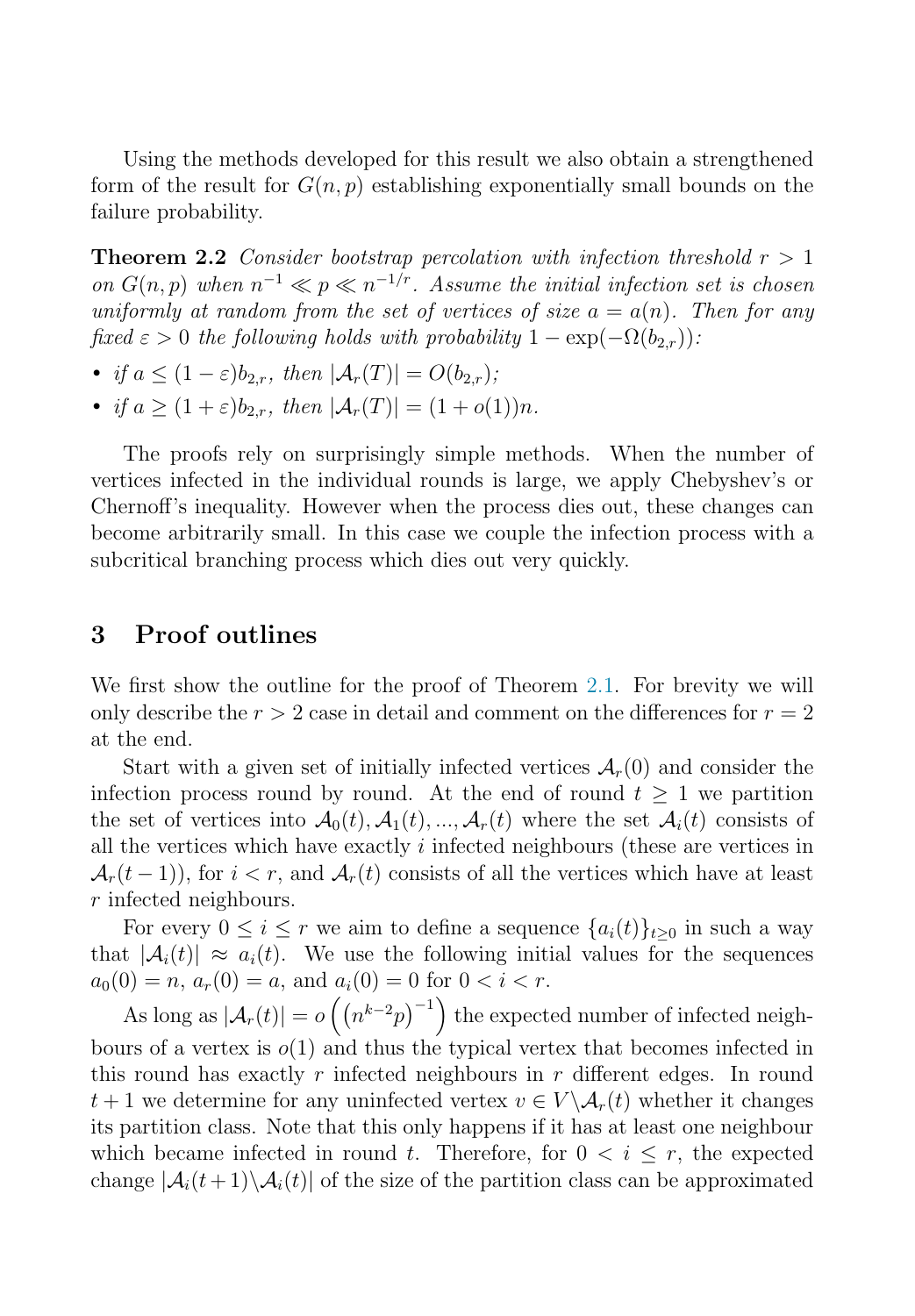<span id="page-3-0"></span>Using the methods developed for this result we also obtain a strengthened form of the result for  $G(n, p)$  establishing exponentially small bounds on the failure probability.

**Theorem 2.2** Consider bootstrap percolation with infection threshold  $r > 1$ on  $G(n, p)$  when  $n^{-1} \ll p \ll n^{-1/r}$ . Assume the initial infection set is chosen uniformly at random from the set of vertices of size  $a = a(n)$ . Then for any fixed  $\varepsilon > 0$  the following holds with probability  $1 - \exp(-\Omega(b_{2r}))$ :

- if  $a \leq (1-\varepsilon)b_{2r}$ , then  $|\mathcal{A}_r(T)| = O(b_{2r})$ ;
- if  $a > (1+\varepsilon)b_{2r}$ , then  $|\mathcal{A}_r(T)| = (1+o(1))n$ .

The proofs rely on surprisingly simple methods. When the number of vertices infected in the individual rounds is large, we apply Chebyshev's or Chernoff's inequality. However when the process dies out, these changes can become arbitrarily small. In this case we couple the infection process with a subcritical branching process which dies out very quickly.

#### **3 Proof outlines**

We first show the outline for the proof of Theorem [2.1.](#page-2-0) For brevity we will only describe the  $r > 2$  case in detail and comment on the differences for  $r = 2$ at the end.

Start with a given set of initially infected vertices  $\mathcal{A}_r(0)$  and consider the infection process round by round. At the end of round  $t > 1$  we partition the set of vertices into  $A_0(t), A_1(t), ..., A_r(t)$  where the set  $A_i(t)$  consists of all the vertices which have exactly  $i$  infected neighbours (these are vertices in  $\mathcal{A}_r(t-1)$ , for  $i < r$ , and  $\mathcal{A}_r(t)$  consists of all the vertices which have at least r infected neighbours.

For every  $0 \leq i \leq r$  we aim to define a sequence  $\{a_i(t)\}_{t>0}$  in such a way that  $|A_i(t)| \approx a_i(t)$ . We use the following initial values for the sequences  $a_0(0) = n$ ,  $a_r(0) = a$ , and  $a_i(0) = 0$  for  $0 < i < r$ .

As long as  $|\mathcal{A}_r(t)| = o\left(\left(n^{k-2}p\right)^{-1}\right)$  the expected number of infected neighbours of a vertex is  $o(1)$  and thus the typical vertex that becomes infected in this round has exactly r infected neighbours in r different edges. In round  $t+1$  we determine for any uninfected vertex  $v \in V \setminus \mathcal{A}_r(t)$  whether it changes its partition class. Note that this only happens if it has at least one neighbour which became infected in round t. Therefore, for  $0 < i \leq r$ , the expected change  $|\mathcal{A}_i(t+1)\setminus\mathcal{A}_i(t)|$  of the size of the partition class can be approximated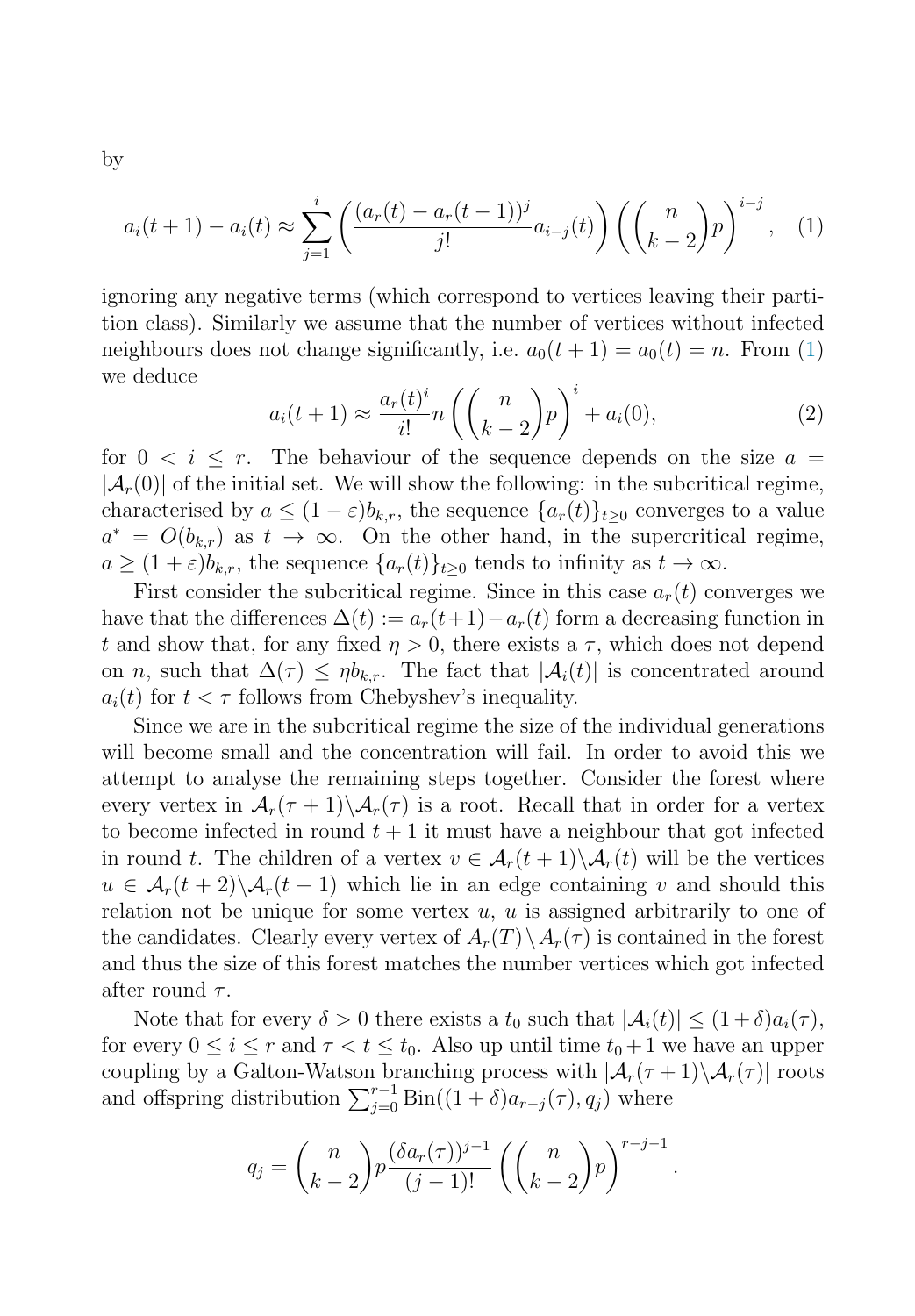<span id="page-4-0"></span>by

$$
a_i(t+1) - a_i(t) \approx \sum_{j=1}^i \left( \frac{(a_r(t) - a_r(t-1))^j}{j!} a_{i-j}(t) \right) \left( \binom{n}{k-2} p \right)^{i-j}, \quad (1)
$$

ignoring any negative terms (which correspond to vertices leaving their partition class). Similarly we assume that the number of vertices without infected neighbours does not change significantly, i.e.  $a_0(t + 1) = a_0(t) = n$ . From (1) we deduce

$$
a_i(t+1) \approx \frac{a_r(t)^i}{i!} n \left( \binom{n}{k-2} p \right)^i + a_i(0),\tag{2}
$$

for  $0 \leq i \leq r$ . The behaviour of the sequence depends on the size  $a =$  $|\mathcal{A}_r(0)|$  of the initial set. We will show the following: in the subcritical regime, characterised by  $a \leq (1 - \varepsilon)b_{k,r}$ , the sequence  $\{a_r(t)\}_{t>0}$  converges to a value  $a^* = O(b_{k,r})$  as  $t \to \infty$ . On the other hand, in the supercritical regime,  $a \geq (1+\varepsilon)b_{k,r}$ , the sequence  $\{a_r(t)\}_{t\geq 0}$  tends to infinity as  $t \to \infty$ .

First consider the subcritical regime. Since in this case  $a_r(t)$  converges we have that the differences  $\Delta(t) := a_r(t+1) - a_r(t)$  form a decreasing function in t and show that, for any fixed  $\eta > 0$ , there exists a  $\tau$ , which does not depend on n, such that  $\Delta(\tau) \leq \eta b_{k,r}$ . The fact that  $|\mathcal{A}_i(t)|$  is concentrated around  $a_i(t)$  for  $t < \tau$  follows from Chebyshev's inequality.

Since we are in the subcritical regime the size of the individual generations will become small and the concentration will fail. In order to avoid this we attempt to analyse the remaining steps together. Consider the forest where every vertex in  $\mathcal{A}_r(\tau+1)\backslash \mathcal{A}_r(\tau)$  is a root. Recall that in order for a vertex to become infected in round  $t + 1$  it must have a neighbour that got infected in round t. The children of a vertex  $v \in \mathcal{A}_r(t+1) \setminus \mathcal{A}_r(t)$  will be the vertices  $u \in \mathcal{A}_r(t+2)\setminus \mathcal{A}_r(t+1)$  which lie in an edge containing v and should this relation not be unique for some vertex  $u, u$  is assigned arbitrarily to one of the candidates. Clearly every vertex of  $A_r(T) \setminus A_r(\tau)$  is contained in the forest and thus the size of this forest matches the number vertices which got infected after round  $\tau$ .

Note that for every  $\delta > 0$  there exists a  $t_0$  such that  $|\mathcal{A}_i(t)| \leq (1+\delta)a_i(\tau)$ , for every  $0 \le i \le r$  and  $\tau < t \le t_0$ . Also up until time  $t_0 + 1$  we have an upper coupling by a Galton-Watson branching process with  $|\mathcal{A}_r(\tau+1)\backslash \mathcal{A}_r(\tau)|$  roots and offspring distribution  $\sum_{j=0}^{r-1} Bin((1+\delta)a_{r-j}(\tau), q_j)$  where

$$
q_j = \binom{n}{k-2} p \frac{(\delta a_r(\tau))^{j-1}}{(j-1)!} \left( \binom{n}{k-2} p \right)^{r-j-1}
$$

.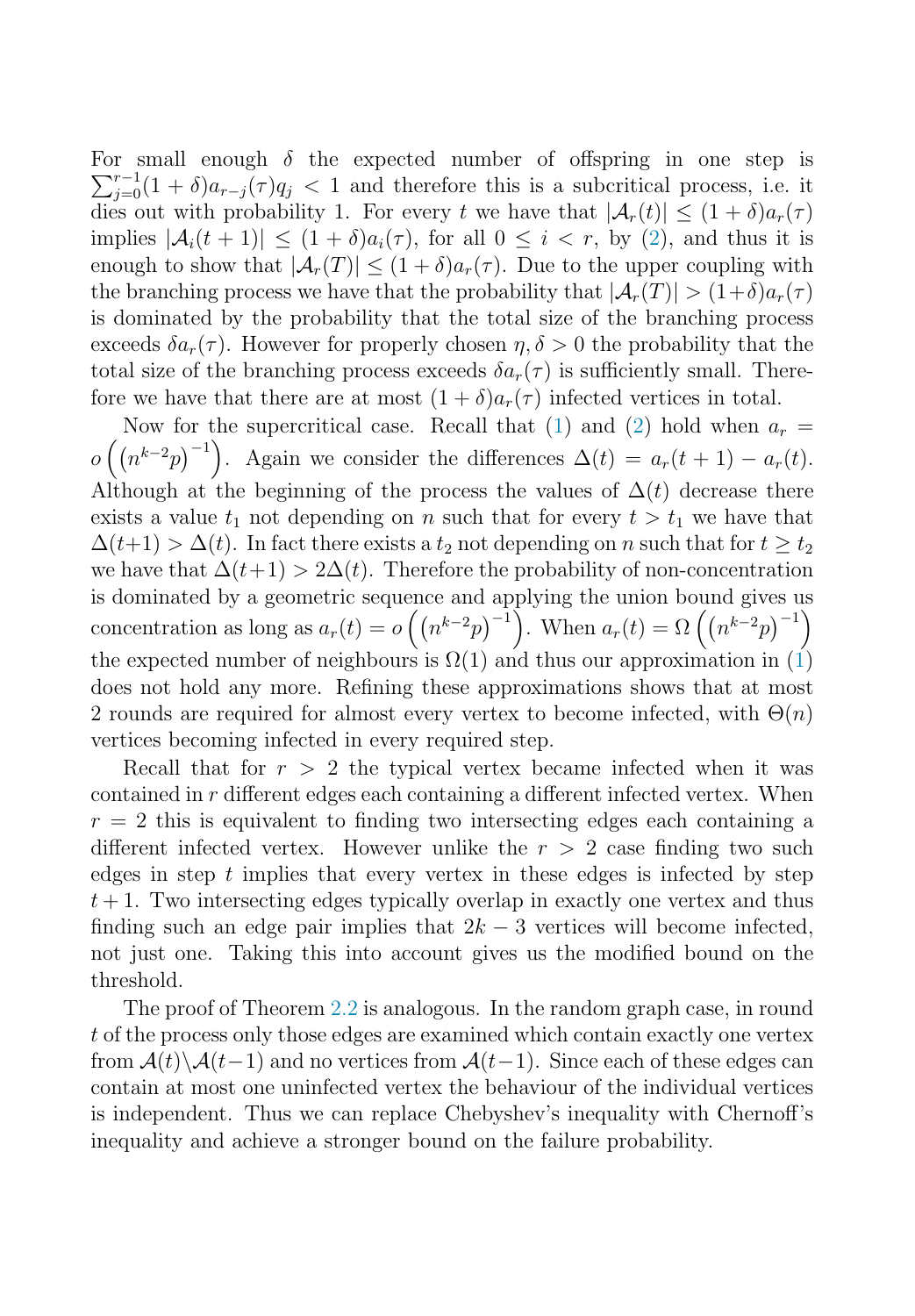For small enough  $\delta$  the expected number of offspring in one step is For small enough  $\delta$  the expected number of offspring in one step is  $\sum_{j=0}^{r-1} (1+\delta)a_{r-j}(\tau)q_j < 1$  and therefore this is a subcritical process, i.e. it dies out with probability 1. For every t we have that  $|\mathcal{A}_r(t)| \leq (1+\delta)a_r(\tau)$ implies  $|\mathcal{A}_i(t+1)| \leq (1+\delta)a_i(\tau)$ , for all  $0 \leq i \leq r$ , by [\(2\)](#page-4-0), and thus it is enough to show that  $|\mathcal{A}_r(T)| \leq (1+\delta)a_r(\tau)$ . Due to the upper coupling with the branching process we have that the probability that  $|\mathcal{A}_r(T)| > (1+\delta)a_r(\tau)$ is dominated by the probability that the total size of the branching process exceeds  $\delta a_r(\tau)$ . However for properly chosen  $\eta, \delta > 0$  the probability that the total size of the branching process exceeds  $\delta a_r(\tau)$  is sufficiently small. Therefore we have that there are at most  $(1 + \delta)a_r(\tau)$  infected vertices in total.

Now for the supercritical case. Recall that [\(1\)](#page-4-0) and [\(2\)](#page-4-0) hold when  $a_r =$  $o\left(\left(n^{k-2}p\right)^{-1}\right)$ . Again we consider the differences  $\Delta(t) = a_r(t+1) - a_r(t)$ . Although at the beginning of the process the values of  $\Delta(t)$  decrease there exists a value  $t_1$  not depending on n such that for every  $t>t_1$  we have that  $\Delta(t+1) > \Delta(t)$ . In fact there exists a  $t_2$  not depending on n such that for  $t \geq t_2$ we have that  $\Delta(t+1) > 2\Delta(t)$ . Therefore the probability of non-concentration is dominated by a geometric sequence and applying the union bound gives us concentration as long as  $a_r(t) = o((n^{k-2}p)^{-1})$ . When  $a_r(t) = \Omega((n^{k-2}p)^{-1})$ the expected number of neighbours is  $\Omega(1)$  $\Omega(1)$  and thus our approximation in  $(1)$ does not hold any more. Refining these approximations shows that at most 2 rounds are required for almost every vertex to become infected, with  $\Theta(n)$ vertices becoming infected in every required step.

Recall that for  $r > 2$  the typical vertex became infected when it was contained in r different edges each containing a different infected vertex. When  $r = 2$  this is equivalent to finding two intersecting edges each containing a different infected vertex. However unlike the  $r > 2$  case finding two such edges in step  $t$  implies that every vertex in these edges is infected by step  $t + 1$ . Two intersecting edges typically overlap in exactly one vertex and thus finding such an edge pair implies that  $2k - 3$  vertices will become infected, not just one. Taking this into account gives us the modified bound on the threshold.

The proof of Theorem [2.2](#page-3-0) is analogous. In the random graph case, in round t of the process only those edges are examined which contain exactly one vertex from  $\mathcal{A}(t)\backslash\mathcal{A}(t-1)$  and no vertices from  $\mathcal{A}(t-1)$ . Since each of these edges can contain at most one uninfected vertex the behaviour of the individual vertices is independent. Thus we can replace Chebyshev's inequality with Chernoff's inequality and achieve a stronger bound on the failure probability.